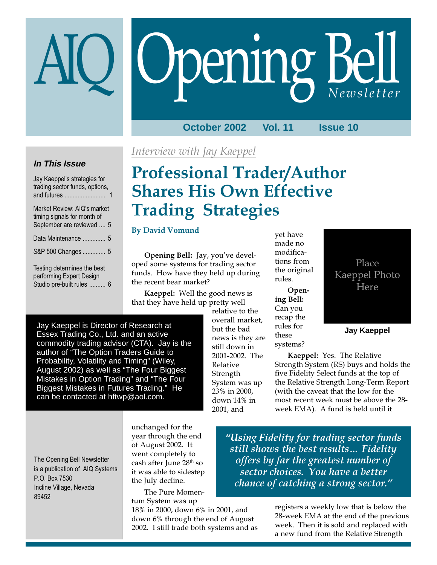# Opening Bell

**October 2002 Vol. 11 Issue 10**

## **In This Issue**

Jay Kaeppel's strategies for trading sector funds, options, and futures ......................... 1 Market Review: AIQ's market timing signals for month of September are reviewed .... 5 Data Maintenance .............. 5 S&P 500 Changes .............. 5 Testing determines the best performing Expert Design Studio pre-built rules .......... 6

## Interview with Jay Kaeppel

# Professional Trader/Author Shares His Own Effective Trading Strategies

## By David Vomund

Opening Bell: Jay, you've developed some systems for trading sector funds. How have they held up during the recent bear market?

Kaeppel: Well the good news is that they have held up pretty well

Jay Kaeppel is Director of Research at Essex Trading Co., Ltd. and an active commodity trading advisor (CTA). Jay is the author of "The Option Traders Guide to Probability, Volatility and Timing" (Wiley, August 2002) as well as "The Four Biggest Mistakes in Option Trading" and "The Four Biggest Mistakes in Futures Trading." He can be contacted at hftwp@aol.com.

relative to the overall market, but the bad news is they are still down in 2001-2002. The Relative **Strength** System was up 23% in 2000, down 14% in 2001, and

yet have made no modifications from the original rules.

Opening Bell: Can you recap the rules for these systems?

Place Kaeppel Photo Here

**Jay Kaeppel**

Kaeppel: Yes. The Relative Strength System (RS) buys and holds the five Fidelity Select funds at the top of the Relative Strength Long-Term Report (with the caveat that the low for the most recent week must be above the 28 week EMA). A fund is held until it

The Opening Bell Newsletter is a publication of AIQ Systems P.O. Box 7530 Incline Village, Nevada 89452

unchanged for the year through the end of August 2002. It went completely to cash after June 28<sup>th</sup> so it was able to sidestep the July decline.

The Pure Momentum System was up

18% in 2000, down 6% in 2001, and down 6% through the end of August 2002. I still trade both systems and as

"Using Fidelity for trading sector funds still shows the best results… Fidelity offers by far the greatest number of sector choices. You have a better chance of catching a strong sector."

> registers a weekly low that is below the 28-week EMA at the end of the previous week. Then it is sold and replaced with a new fund from the Relative Strength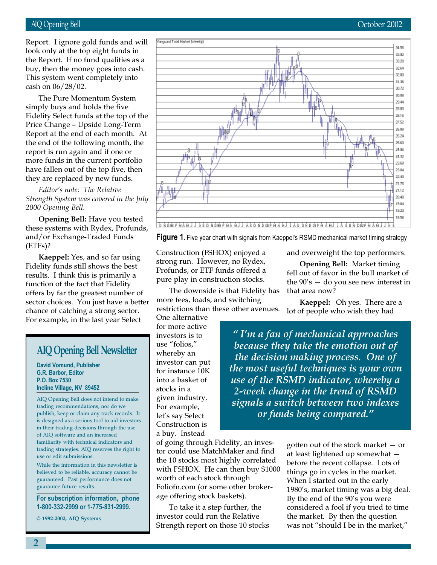## AIQ Opening Bell October 2002

buy, then the money goes into cash. Report. I ignore gold funds and will look only at the top eight funds in the Report. If no fund qualifies as a This system went completely into cash on 06/28/02.

The Pure Momentum System simply buys and holds the five Fidelity Select funds at the top of the Price Change – Upside Long-Term Report at the end of each month. At the end of the following month, the report is run again and if one or more funds in the current portfolio have fallen out of the top five, then they are replaced by new funds.

Editor's note: The Relative Strength System was covered in the July 2000 Opening Bell.

Opening Bell: Have you tested these systems with Rydex, Profunds, and/or Exchange-Traded Funds (ETFs)?

Kaeppel: Yes, and so far using Fidelity funds still shows the best results. I think this is primarily a function of the fact that Fidelity offers by far the greatest number of sector choices. You just have a better chance of catching a strong sector. For example, in the last year Select

## AIQ Opening Bell Newsletter

David Vomund, Publisher G.R. Barbor, Editor P.O. Box 7530 Incline Village, NV 89452

AIQ Opening Bell does not intend to make trading recommendations, nor do we publish, keep or claim any track records. It is designed as a serious tool to aid investors in their trading decisions through the use of AIQ software and an increased familiarity with technical indicators and trading strategies. AIQ reserves the right to use or edit submissions.

While the information in this newsletter is believed to be reliable, accuracy cannot be guaranteed. Past performance does not guarantee future results.

For subscription information, phone 1-800-332-2999 or 1-775-831-2999.

© 1992-2002, AIQ Systems



Figure 1. Five year chart with signals from Kaeppel's RSMD mechanical market timing strategy

Construction (FSHOX) enjoyed a strong run. However, no Rydex, Profunds, or ETF funds offered a pure play in construction stocks.

The downside is that Fidelity has more fees, loads, and switching restrictions than these other avenues.

One alternative for more active investors is to use "folios," whereby an investor can put for instance 10K into a basket of stocks in a given industry. For example, let's say Select Construction is a buy. Instead

and overweight the top performers.

Opening Bell: Market timing fell out of favor in the bull market of the  $90's -$  do you see new interest in that area now?

Kaeppel: Oh yes. There are a lot of people who wish they had

" I'm a fan of mechanical approaches because they take the emotion out of the decision making process. One of the most useful techniques is your own use of the RSMD indicator, whereby a 2-week change in the trend of RSMD signals a switch between two indexes or funds being compared."

of going through Fidelity, an investor could use MatchMaker and find the 10 stocks most highly correlated with FSHOX. He can then buy \$1000 worth of each stock through Foliofn.com (or some other brokerage offering stock baskets).

To take it a step further, the investor could run the Relative Strength report on those 10 stocks gotten out of the stock market — or at least lightened up somewhat before the recent collapse. Lots of things go in cycles in the market. When I started out in the early 1980's, market timing was a big deal. By the end of the 90's you were considered a fool if you tried to time the market. By then the question was not "should I be in the market,"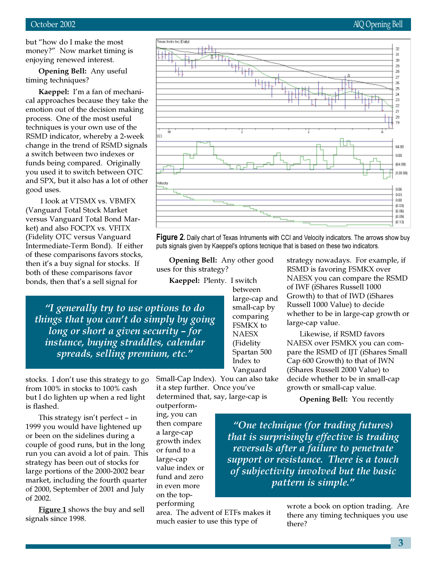but "how do I make the most money?" Now market timing is enjoying renewed interest.

Opening Bell: Any useful timing techniques?

Kaeppel: I'm a fan of mechanical approaches because they take the emotion out of the decision making process. One of the most useful techniques is your own use of the RSMD indicator, whereby a 2-week change in the trend of RSMD signals a switch between two indexes or funds being compared. Originally you used it to switch between OTC and SPX, but it also has a lot of other good uses.

 I look at VTSMX vs. VBMFX (Vanguard Total Stock Market versus Vanguard Total Bond Market) and also FOCPX vs. VFITX (Fidelity OTC versus Vanguard Intermediate-Term Bond). If either of these comparisons favors stocks, then it's a buy signal for stocks. If both of these comparisons favor bonds, then that's a sell signal for

"I generally try to use options to do things that you can't do simply by going long or short a given security – for instance, buying straddles, calendar spreads, selling premium, etc."

stocks. I don't use this strategy to go from 100% in stocks to 100% cash but I do lighten up when a red light is flashed.

This strategy isn't perfect – in 1999 you would have lightened up or been on the sidelines during a couple of good runs, but in the long run you can avoid a lot of pain. This strategy has been out of stocks for large portions of the 2000-2002 bear market, including the fourth quarter of 2000, September of 2001 and July of 2002.

**Figure 1** shows the buy and sell signals since 1998.

Small-Cap Index). You can also take it a step further. Once you've determined that, say, large-cap is

Opening Bell: Any other good

uses for this strategy?

outperforming, you can then compare a large-cap growth index or fund to a large-cap value index or fund and zero in even more on the topperforming

area. The advent of ETFs makes it much easier to use this type of

strategy nowadays. For example, if RSMD is favoring FSMKX over NAESX you can compare the RSMD of IWF (iShares Russell 1000 Growth) to that of IWD (iShares Russell 1000 Value) to decide whether to be in large-cap growth or large-cap value.

Likewise, if RSMD favors NAESX over FSMKX you can compare the RSMD of IJT (iShares Small Cap 600 Growth) to that of IWN (iShares Russell 2000 Value) to decide whether to be in small-cap growth or small-cap value.

Opening Bell: You recently

"One technique (for trading futures) that is surprisingly effective is trading reversals after a failure to penetrate support or resistance. There is a touch of subjectivity involved but the basic pattern is simple."

> wrote a book on option trading. Are there any timing techniques you use there?

exas Instis Inc (Daily) æ 31 30 29 'un 28 z łщ 26 25 24 23 z 21  $20^{\circ}$ 19 Ń Y. 64.00 0.00 64.00 (128.00) skocity 0.06 0.09 0.00 (0.03) ja pej (0.09) (0.13)

Figure 2. Daily chart of Texas Intruments with CCI and Velocity indicators. The arrows show buy puts signals given by Kaeppel's options tecnique that is based on these two indicators.

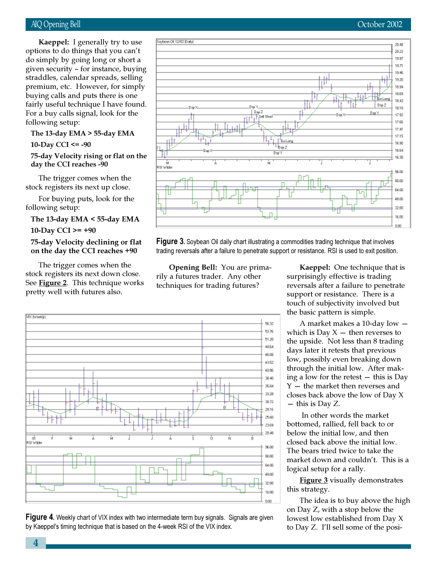given security – for instance, buying Kaeppel: I generally try to use options to do things that you can't do simply by going long or short a straddles, calendar spreads, selling premium, etc. However, for simply buying calls and puts there is one fairly useful technique I have found. For a buy calls signal, look for the following setup:

## The 13-day EMA > 55-day EMA

10-Day CCI  $\le$  -90

## 75-day Velocity rising or flat on the day the CCI reaches -90

The trigger comes when the stock registers its next up close.

For buying puts, look for the following setup:

The 13-day EMA < 55-day EMA

10-Day CCI  $>= +90$ 

75-day Velocity declining or flat on the day the CCI reaches +90

The trigger comes when the stock registers its next down close. See **Figure 2**. This technique works pretty well with futures also.



Figure 3. Soybean Oil daily chart illustrating a commodities trading technique that involves trading reversals after a failure to penetrate support or resistance. RSI is used to exit position.

Opening Bell: You are primarily a futures trader. Any other techniques for trading futures?

Soybean Oil 12/02 (Daily)





Kaeppel: One technique that is surprisingly effective is trading reversals after a failure to penetrate support or resistance. There is a touch of subjectivity involved but the basic pattern is simple.

A market makes a 10-day low which is Day  $X -$  then reverses to the upside. Not less than 8 trading days later it retests that previous low, possibly even breaking down through the initial low. After making a low for the retest — this is Day Y — the market then reverses and closes back above the low of Day X — this is Day Z.

 In other words the market bottomed, rallied, fell back to or below the initial low, and then closed back above the initial low. The bears tried twice to take the market down and couldn't. This is a logical setup for a rally.

Figure 3 visually demonstrates this strategy.

The idea is to buy above the high on Day Z, with a stop below the lowest low established from Day X to Day Z. I'll sell some of the posi-

20.49 20:22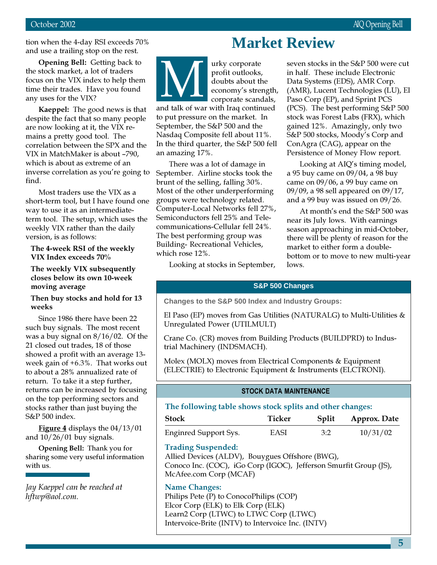tion when the 4-day RSI exceeds 70% and use a trailing stop on the rest.

Ope<br>
Stoclarus on<br>
Stocker<br>
Stocker Opening Bell: Getting back to the stock market, a lot of traders focus on the VIX index to help them time their trades. Have you found any uses for the VIX?

Kaeppel: The good news is that despite the fact that so many people are now looking at it, the VIX remains a pretty good tool. The correlation between the SPX and the VIX in MatchMaker is about –790, which is about as extreme of an inverse correlation as you're going to find.

Most traders use the VIX as a short-term tool, but I have found one way to use it as an intermediateterm tool. The setup, which uses the weekly VIX rather than the daily version, is as follows:

#### The 4-week RSI of the weekly VIX Index exceeds 70%

The weekly VIX subsequently closes below its own 10-week moving average

## Then buy stocks and hold for 13 weeks

Since 1986 there have been 22 such buy signals. The most recent was a buy signal on 8/16/02. Of the 21 closed out trades, 18 of those showed a profit with an average 13 week gain of +6.3%. That works out to about a 28% annualized rate of return. To take it a step further, returns can be increased by focusing on the top performing sectors and stocks rather than just buying the S&P 500 index.

Figure 4 displays the 04/13/01 and  $10/26/01$  buy signals.

Opening Bell: Thank you for sharing some very useful information with us.

Jay Kaeppel can be reached at hftwp@aol.com.

# **Market Review**

urky corporate profit outlooks, doubts about the economy's strength, corporate scandals,  $\sum_{\text{nd talk of was}}$ 

and talk of war with Iraq continued to put pressure on the market. In September, the S&P 500 and the Nasdaq Composite fell about 11%. In the third quarter, the S&P 500 fell an amazing 17%.

There was a lot of damage in September. Airline stocks took the brunt of the selling, falling 30%. Most of the other underperforming groups were technology related. Computer-Local Networks fell 27%, Semiconductors fell 25% and Telecommunications-Cellular fell 24%. The best performing group was Building- Recreational Vehicles, which rose 12%.

seven stocks in the S&P 500 were cut in half. These include Electronic Data Systems (EDS), AMR Corp. (AMR), Lucent Technologies (LU), El Paso Corp (EP), and Sprint PCS (PCS). The best performing S&P 500 stock was Forest Labs (FRX), which gained 12%. Amazingly, only two S&P 500 stocks, Moody's Corp and ConAgra (CAG), appear on the Persistence of Money Flow report.

Looking at AIQ's timing model, a 95 buy came on 09/04, a 98 buy came on 09/06, a 99 buy came on 09/09, a 98 sell appeared on 09/17, and a 99 buy was issued on 09/26.

At month's end the S&P 500 was near its July lows. With earnings season approaching in mid-October, there will be plenty of reason for the market to either form a doublebottom or to move to new multi-year lows.

Looking at stocks in September,

## **S&P 500 Changes**

**Changes to the S&P 500 Index and Industry Groups:**

El Paso (EP) moves from Gas Utilities (NATURALG) to Multi-Utilities & Unregulated Power (UTILMULT)

Crane Co. (CR) moves from Building Products (BUILDPRD) to Industrial Machinery (INDSMACH).

Molex (MOLX) moves from Electrical Components & Equipment (ELECTRIE) to Electronic Equipment & Instruments (ELCTRONI).

## STOCK DATA MAINTENANCE

#### The following table shows stock splits and other changes:

| <b>Stock</b>                 | Ticker | Split | Approx. Date |
|------------------------------|--------|-------|--------------|
| <b>Enginred Support Sys.</b> | EASI   | 3:2   | 10/31/02     |

## Trading Suspended:

Allied Devices (ALDV), Bouygues Offshore (BWG), Conoco Inc. (COC), iGo Corp (IGOC), Jefferson Smurfit Group (JS), McAfee.com Corp (MCAF)

#### Name Changes:

Philips Pete (P) to ConocoPhilips (COP) Elcor Corp (ELK) to Elk Corp (ELK) Learn2 Corp (LTWC) to LTWC Corp (LTWC) Intervoice-Brite (INTV) to Intervoice Inc. (INTV)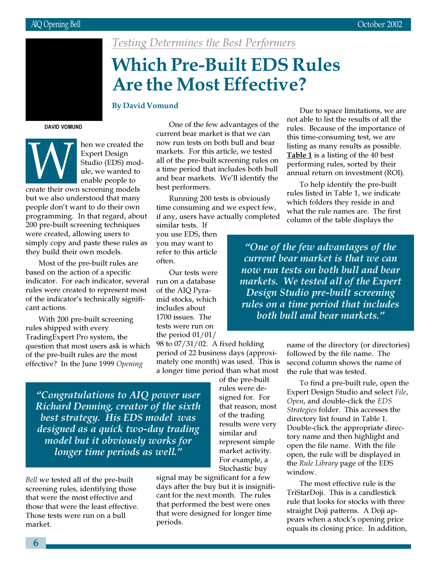

Testing Determines the Best Performers

# Which Pre-Built EDS Rules Are the Most Effective?

## By David Vomund

DAVID VOMUND

hen we created the Expert Design Studio (EDS) module, we wanted to enable people to Expert Design<br>
Studio (EDS) mod<br>
ule, we wanted to<br>
enable people to<br>
create their own screening models

but we also understood that many people don't want to do their own programming. In that regard, about 200 pre-built screening techniques were created, allowing users to simply copy and paste these rules as they build their own models.

Most of the pre-built rules are based on the action of a specific indicator. For each indicator, several rules were created to represent most of the indicator's technically significant actions.

With 200 pre-built screening rules shipped with every TradingExpert Pro system, the question that most users ask is which of the pre-built rules are the most effective? In the June 1999 Opening

One of the few advantages of the current bear market is that we can now run tests on both bull and bear markets. For this article, we tested all of the pre-built screening rules on a time period that includes both bull and bear markets. We'll identify the best performers.

Running 200 tests is obviously time consuming and we expect few, if any, users have actually completed

similar tests. If you use EDS, then you may want to refer to this article often.

Our tests were run on a database of the AIQ Pyramid stocks, which includes about 1700 issues. The tests were run on the period 01/01/

98 to 07/31/02. A fixed holding period of 22 business days (approximately one month) was used. This is a longer time period than what most

> of the pre-built rules were designed for. For that reason, most of the trading results were very similar and represent simple market activity. For example, a Stochastic buy

"Congratulations to AIQ power user Richard Denning, creator of the sixth best strategy. His EDS model was designed as a quick two-day trading model but it obviously works for longer time periods as well."

Bell we tested all of the pre-built screening rules, identifying those that were the most effective and those that were the least effective. Those tests were run on a bull market.

signal may be significant for a few days after the buy but it is insignificant for the next month. The rules that performed the best were ones that were designed for longer time periods.

Due to space limitations, we are not able to list the results of all the rules. Because of the importance of this time-consuming test, we are listing as many results as possible. Table 1 is a listing of the 40 best performing rules, sorted by their annual return on investment (ROI).

To help identify the pre-built rules listed in Table 1, we indicate which folders they reside in and what the rule names are. The first column of the table displays the

"One of the few advantages of the current bear market is that we can now run tests on both bull and bear markets. We tested all of the Expert Design Studio pre-built screening rules on a time period that includes both bull and bear markets."

> name of the directory (or directories) followed by the file name. The second column shows the name of the rule that was tested.

> To find a pre-built rule, open the Expert Design Studio and select File, Open, and double-click the EDS Strategies folder. This accesses the directory list found in Table 1. Double-click the appropriate directory name and then highlight and open the file name. With the file open, the rule will be displayed in the Rule Library page of the EDS window.

The most effective rule is the TriStarDoji. This is a candlestick rule that looks for stocks with three straight Doji patterns. A Doji appears when a stock's opening price equals its closing price. In addition,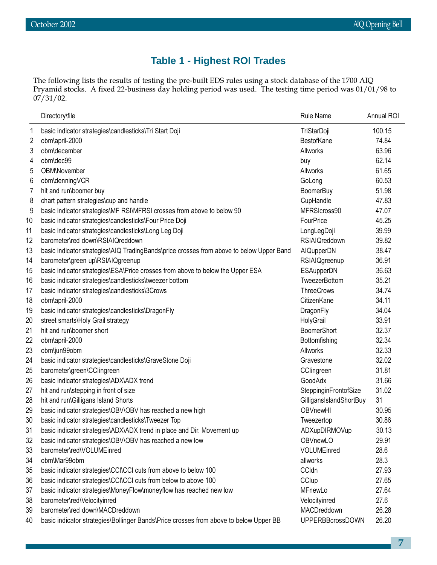## **Table 1 - Highest ROI Trades**

The following lists the results of testing the pre-built EDS rules using a stock database of the 1700 AIQ Pryamid stocks. A fixed 22-business day holding period was used. The testing time period was 01/01/98 to 07/31/02.

|    | Directory\file                                                                           | <b>Rule Name</b>        | Annual ROI |
|----|------------------------------------------------------------------------------------------|-------------------------|------------|
| 1  | basic indicator strategies\candlesticks\Tri Start Doji                                   | TriStarDoji             | 100.15     |
| 2  | obm\april-2000                                                                           | BestofKane              | 74.84      |
| 3  | obm\december                                                                             | Allworks                | 63.96      |
| 4  | obm\dec99                                                                                | buy                     | 62.14      |
| 5  | OBM\November                                                                             | Allworks                | 61.65      |
| 6  | obm\denningVCR                                                                           | GoLong                  | 60.53      |
| 7  | hit and run\boomer buy                                                                   | <b>BoomerBuy</b>        | 51.98      |
| 8  | chart pattern strategies\cup and handle                                                  | CupHandle               | 47.83      |
| 9  | basic indicator strategies\MF RSI\MFRSI crosses from above to below 90                   | MFRSIcross90            | 47.07      |
| 10 | basic indicator strategies\candlesticks\Four Price Doji                                  | FourPrice               | 45.25      |
| 11 | basic indicator strategies\candlesticks\Long Leg Doji                                    | LongLegDoji             | 39.99      |
| 12 | barometer\red down\RSIAIQreddown                                                         | <b>RSIAIQreddown</b>    | 39.82      |
| 13 | basic indicator strategies\AIQ TradingBands\price crosses from above to below Upper Band | AIQupperDN              | 38.47      |
| 14 | barometer\green up\RSIAIQgreenup                                                         | RSIAlQgreenup           | 36.91      |
| 15 | basic indicator strategies\ESA\Price crosses from above to below the Upper ESA           | <b>ESAupperDN</b>       | 36.63      |
| 16 | basic indicator strategies\candlesticks\tweezer bottom                                   | TweezerBottom           | 35.21      |
| 17 | basic indicator strategies\candlesticks\3Crows                                           | <b>ThreeCrows</b>       | 34.74      |
| 18 | obm\april-2000                                                                           | CitizenKane             | 34.11      |
| 19 | basic indicator strategies\candlesticks\DragonFly                                        | DragonFly               | 34.04      |
| 20 | street smarts\Holy Grail strategy                                                        | HolyGrail               | 33.91      |
| 21 | hit and run\boomer short                                                                 | <b>BoomerShort</b>      | 32.37      |
| 22 | obm\april-2000                                                                           | Bottomfishing           | 32.34      |
| 23 | obm\jun99obm                                                                             | Allworks                | 32.33      |
| 24 | basic indicator strategies\candlesticks\GraveStone Doji                                  | Gravestone              | 32.02      |
| 25 | barometer\green\CClingreen                                                               | CClingreen              | 31.81      |
| 26 | basic indicator strategies\ADX\ADX trend                                                 | GoodAdx                 | 31.66      |
| 27 | hit and run\stepping in front of size                                                    | SteppinginFrontofSize   | 31.02      |
| 28 | hit and run\Gilligans Island Shorts                                                      | GilligansIslandShortBuy | 31         |
| 29 | basic indicator strategies\OBV\OBV has reached a new high                                | OBVnewHI                | 30.95      |
| 30 | basic indicator strategies\candlesticks\Tweezer Top                                      | Tweezertop              | 30.86      |
| 31 | basic indicator strategies\ADX\ADX trend in place and Dir. Movement up                   | ADXupDIRMOVup           | 30.13      |
| 32 | basic indicator strategies\OBV\OBV has reached a new low                                 | OBVnewLO                | 29.91      |
| 33 | barometer\red\VOLUMEinred                                                                | VOLUMEinred             | 28.6       |
| 34 | obm\Mar99obm                                                                             | allworks                | 28.3       |
| 35 | basic indicator strategies\CCI\CCI cuts from above to below 100                          | CCldn                   | 27.93      |
| 36 | basic indicator strategies\CCI\CCI cuts from below to above 100                          | CClup                   | 27.65      |
| 37 | basic indicator strategies\MoneyFlow\moneyflow has reached new low                       | MFnewLo                 | 27.64      |
| 38 | barometer\red\Velocityinred                                                              | Velocityinred           | 27.6       |
| 39 | barometer\red down\MACDreddown                                                           | MACDreddown             | 26.28      |
| 40 | basic indicator strategies\Bollinger Bands\Price crosses from above to below Upper BB    | <b>UPPERBBcrossDOWN</b> | 26.20      |